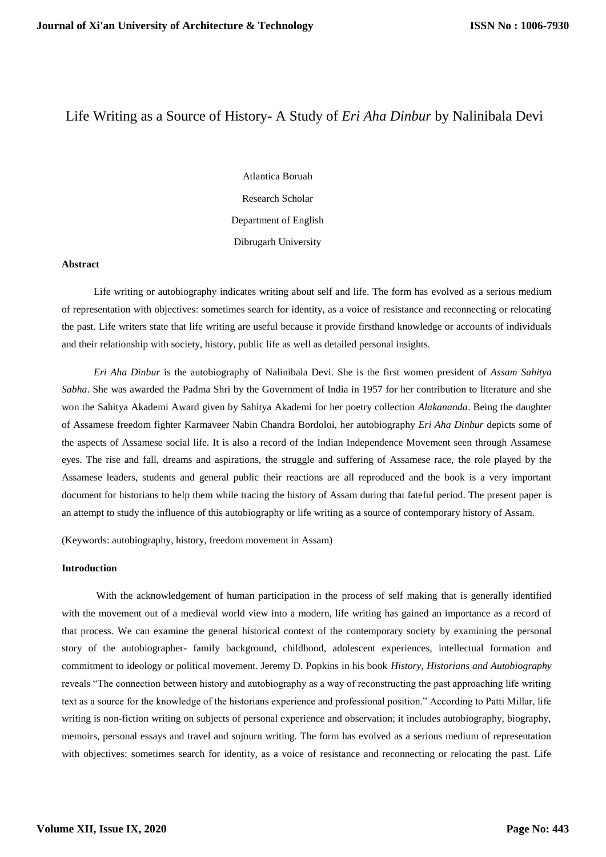# Life Writing as a Source of History- A Study of *Eri Aha Dinbur* by Nalinibala Devi

Atlantica Boruah Research Scholar Department of English Dibrugarh University

# **Abstract**

Life writing or autobiography indicates writing about self and life. The form has evolved as a serious medium of representation with objectives: sometimes search for identity, as a voice of resistance and reconnecting or relocating the past. Life writers state that life writing are useful because it provide firsthand knowledge or accounts of individuals and their relationship with society, history, public life as well as detailed personal insights.

*Eri Aha Dinbur* is the autobiography of Nalinibala Devi. She is the first women president of *Assam Sahitya Sabha*. She was awarded the Padma Shri by the Government of India in 1957 for her contribution to literature and she won the Sahitya Akademi Award given by Sahitya Akademi for her poetry collection *Alakananda*. Being the daughter of Assamese freedom fighter Karmaveer Nabin Chandra Bordoloi, her autobiography *Eri Aha Dinbur* depicts some of the aspects of Assamese social life. It is also a record of the Indian Independence Movement seen through Assamese eyes. The rise and fall, dreams and aspirations, the struggle and suffering of Assamese race, the role played by the Assamese leaders, students and general public their reactions are all reproduced and the book is a very important document for historians to help them while tracing the history of Assam during that fateful period. The present paper is an attempt to study the influence of this autobiography or life writing as a source of contemporary history of Assam.

(Keywords: autobiography, history, freedom movement in Assam)

### **Introduction**

 With the acknowledgement of human participation in the process of self making that is generally identified with the movement out of a medieval world view into a modern, life writing has gained an importance as a record of that process. We can examine the general historical context of the contemporary society by examining the personal story of the autobiographer- family background, childhood, adolescent experiences, intellectual formation and commitment to ideology or political movement. Jeremy D. Popkins in his book *History, Historians and Autobiography* reveals "The connection between history and autobiography as a way of reconstructing the past approaching life writing text as a source for the knowledge of the historians experience and professional position." According to Patti Millar, life writing is non-fiction writing on subjects of personal experience and observation; it includes autobiography, biography, memoirs, personal essays and travel and sojourn writing. The form has evolved as a serious medium of representation with objectives: sometimes search for identity, as a voice of resistance and reconnecting or relocating the past. Life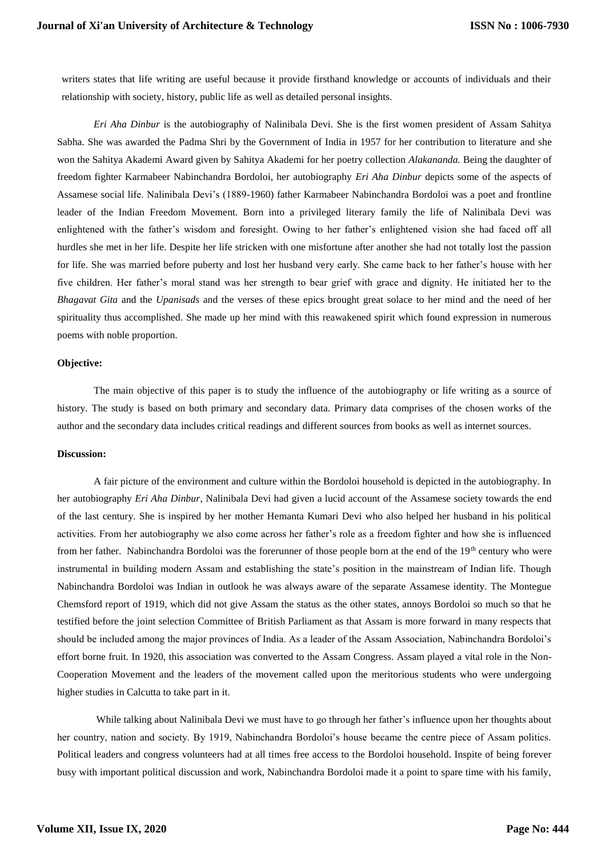writers states that life writing are useful because it provide firsthand knowledge or accounts of individuals and their relationship with society, history, public life as well as detailed personal insights.

 *Eri Aha Dinbur* is the autobiography of Nalinibala Devi. She is the first women president of Assam Sahitya Sabha. She was awarded the Padma Shri by the Government of India in 1957 for her contribution to literature and she won the Sahitya Akademi Award given by Sahitya Akademi for her poetry collection *Alakananda.* Being the daughter of freedom fighter Karmabeer Nabinchandra Bordoloi, her autobiography *Eri Aha Dinbur* depicts some of the aspects of Assamese social life. Nalinibala Devi's (1889-1960) father Karmabeer Nabinchandra Bordoloi was a poet and frontline leader of the Indian Freedom Movement. Born into a privileged literary family the life of Nalinibala Devi was enlightened with the father's wisdom and foresight. Owing to her father's enlightened vision she had faced off all hurdles she met in her life. Despite her life stricken with one misfortune after another she had not totally lost the passion for life. She was married before puberty and lost her husband very early. She came back to her father's house with her five children. Her father's moral stand was her strength to bear grief with grace and dignity. He initiated her to the *Bhagavat Gita* and the *Upanisads* and the verses of these epics brought great solace to her mind and the need of her spirituality thus accomplished. She made up her mind with this reawakened spirit which found expression in numerous poems with noble proportion.

# **Objective:**

The main objective of this paper is to study the influence of the autobiography or life writing as a source of history. The study is based on both primary and secondary data. Primary data comprises of the chosen works of the author and the secondary data includes critical readings and different sources from books as well as internet sources.

#### **Discussion:**

 A fair picture of the environment and culture within the Bordoloi household is depicted in the autobiography. In her autobiography *Eri Aha Dinbur*, Nalinibala Devi had given a lucid account of the Assamese society towards the end of the last century. She is inspired by her mother Hemanta Kumari Devi who also helped her husband in his political activities. From her autobiography we also come across her father's role as a freedom fighter and how she is influenced from her father. Nabinchandra Bordoloi was the forerunner of those people born at the end of the 19<sup>th</sup> century who were instrumental in building modern Assam and establishing the state's position in the mainstream of Indian life. Though Nabinchandra Bordoloi was Indian in outlook he was always aware of the separate Assamese identity. The Montegue Chemsford report of 1919, which did not give Assam the status as the other states, annoys Bordoloi so much so that he testified before the joint selection Committee of British Parliament as that Assam is more forward in many respects that should be included among the major provinces of India. As a leader of the Assam Association, Nabinchandra Bordoloi's effort borne fruit. In 1920, this association was converted to the Assam Congress. Assam played a vital role in the Non-Cooperation Movement and the leaders of the movement called upon the meritorious students who were undergoing higher studies in Calcutta to take part in it.

 While talking about Nalinibala Devi we must have to go through her father's influence upon her thoughts about her country, nation and society. By 1919, Nabinchandra Bordoloi's house became the centre piece of Assam politics. Political leaders and congress volunteers had at all times free access to the Bordoloi household. Inspite of being forever busy with important political discussion and work, Nabinchandra Bordoloi made it a point to spare time with his family,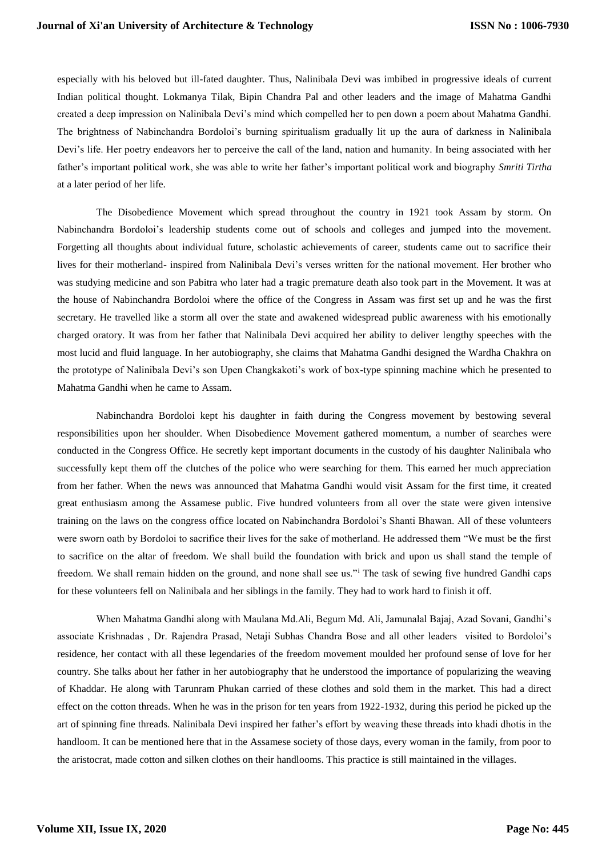especially with his beloved but ill-fated daughter. Thus, Nalinibala Devi was imbibed in progressive ideals of current Indian political thought. Lokmanya Tilak, Bipin Chandra Pal and other leaders and the image of Mahatma Gandhi created a deep impression on Nalinibala Devi's mind which compelled her to pen down a poem about Mahatma Gandhi. The brightness of Nabinchandra Bordoloi's burning spiritualism gradually lit up the aura of darkness in Nalinibala Devi's life. Her poetry endeavors her to perceive the call of the land, nation and humanity. In being associated with her father's important political work, she was able to write her father's important political work and biography *Smriti Tirtha* at a later period of her life.

 The Disobedience Movement which spread throughout the country in 1921 took Assam by storm. On Nabinchandra Bordoloi's leadership students come out of schools and colleges and jumped into the movement. Forgetting all thoughts about individual future, scholastic achievements of career, students came out to sacrifice their lives for their motherland- inspired from Nalinibala Devi's verses written for the national movement. Her brother who was studying medicine and son Pabitra who later had a tragic premature death also took part in the Movement. It was at the house of Nabinchandra Bordoloi where the office of the Congress in Assam was first set up and he was the first secretary. He travelled like a storm all over the state and awakened widespread public awareness with his emotionally charged oratory. It was from her father that Nalinibala Devi acquired her ability to deliver lengthy speeches with the most lucid and fluid language. In her autobiography, she claims that Mahatma Gandhi designed the Wardha Chakhra on the prototype of Nalinibala Devi's son Upen Changkakoti's work of box-type spinning machine which he presented to Mahatma Gandhi when he came to Assam.

 Nabinchandra Bordoloi kept his daughter in faith during the Congress movement by bestowing several responsibilities upon her shoulder. When Disobedience Movement gathered momentum, a number of searches were conducted in the Congress Office. He secretly kept important documents in the custody of his daughter Nalinibala who successfully kept them off the clutches of the police who were searching for them. This earned her much appreciation from her father. When the news was announced that Mahatma Gandhi would visit Assam for the first time, it created great enthusiasm among the Assamese public. Five hundred volunteers from all over the state were given intensive training on the laws on the congress office located on Nabinchandra Bordoloi's Shanti Bhawan. All of these volunteers were sworn oath by Bordoloi to sacrifice their lives for the sake of motherland. He addressed them "We must be the first to sacrifice on the altar of freedom. We shall build the foundation with brick and upon us shall stand the temple of freedom. We shall remain hidden on the ground, and none shall see us."<sup>i</sup> The task of sewing five hundred Gandhi caps for these volunteers fell on Nalinibala and her siblings in the family. They had to work hard to finish it off.

 When Mahatma Gandhi along with Maulana Md.Ali, Begum Md. Ali, Jamunalal Bajaj, Azad Sovani, Gandhi's associate Krishnadas , Dr. Rajendra Prasad, Netaji Subhas Chandra Bose and all other leaders visited to Bordoloi's residence, her contact with all these legendaries of the freedom movement moulded her profound sense of love for her country. She talks about her father in her autobiography that he understood the importance of popularizing the weaving of Khaddar. He along with Tarunram Phukan carried of these clothes and sold them in the market. This had a direct effect on the cotton threads. When he was in the prison for ten years from 1922-1932, during this period he picked up the art of spinning fine threads. Nalinibala Devi inspired her father's effort by weaving these threads into khadi dhotis in the handloom. It can be mentioned here that in the Assamese society of those days, every woman in the family, from poor to the aristocrat, made cotton and silken clothes on their handlooms. This practice is still maintained in the villages.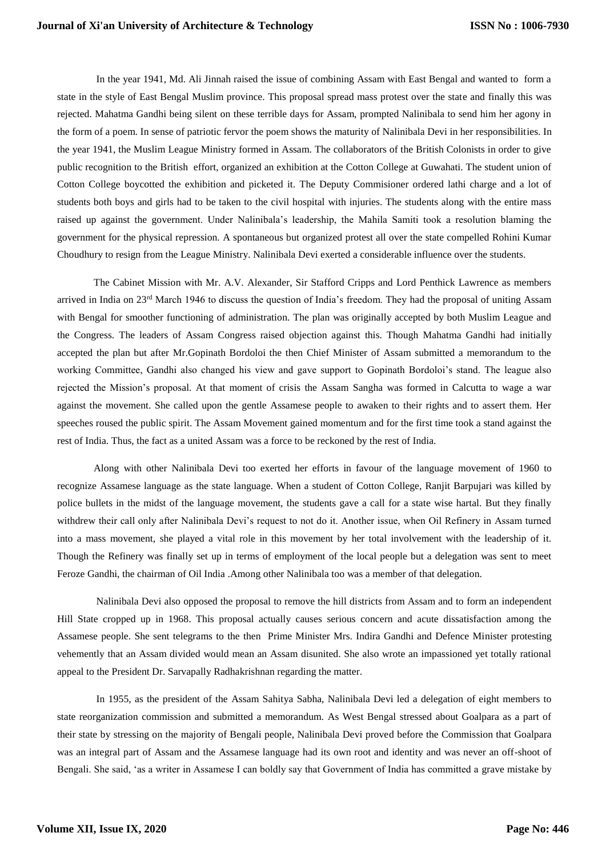In the year 1941, Md. Ali Jinnah raised the issue of combining Assam with East Bengal and wanted to form a state in the style of East Bengal Muslim province. This proposal spread mass protest over the state and finally this was rejected. Mahatma Gandhi being silent on these terrible days for Assam, prompted Nalinibala to send him her agony in the form of a poem. In sense of patriotic fervor the poem shows the maturity of Nalinibala Devi in her responsibilities. In the year 1941, the Muslim League Ministry formed in Assam. The collaborators of the British Colonists in order to give public recognition to the British effort, organized an exhibition at the Cotton College at Guwahati. The student union of Cotton College boycotted the exhibition and picketed it. The Deputy Commisioner ordered lathi charge and a lot of students both boys and girls had to be taken to the civil hospital with injuries. The students along with the entire mass raised up against the government. Under Nalinibala's leadership, the Mahila Samiti took a resolution blaming the government for the physical repression. A spontaneous but organized protest all over the state compelled Rohini Kumar Choudhury to resign from the League Ministry. Nalinibala Devi exerted a considerable influence over the students.

 The Cabinet Mission with Mr. A.V. Alexander, Sir Stafford Cripps and Lord Penthick Lawrence as members arrived in India on  $23<sup>rd</sup>$  March 1946 to discuss the question of India's freedom. They had the proposal of uniting Assam with Bengal for smoother functioning of administration. The plan was originally accepted by both Muslim League and the Congress. The leaders of Assam Congress raised objection against this. Though Mahatma Gandhi had initially accepted the plan but after Mr.Gopinath Bordoloi the then Chief Minister of Assam submitted a memorandum to the working Committee, Gandhi also changed his view and gave support to Gopinath Bordoloi's stand. The league also rejected the Mission's proposal. At that moment of crisis the Assam Sangha was formed in Calcutta to wage a war against the movement. She called upon the gentle Assamese people to awaken to their rights and to assert them. Her speeches roused the public spirit. The Assam Movement gained momentum and for the first time took a stand against the rest of India. Thus, the fact as a united Assam was a force to be reckoned by the rest of India.

 Along with other Nalinibala Devi too exerted her efforts in favour of the language movement of 1960 to recognize Assamese language as the state language. When a student of Cotton College, Ranjit Barpujari was killed by police bullets in the midst of the language movement, the students gave a call for a state wise hartal. But they finally withdrew their call only after Nalinibala Devi's request to not do it. Another issue, when Oil Refinery in Assam turned into a mass movement, she played a vital role in this movement by her total involvement with the leadership of it. Though the Refinery was finally set up in terms of employment of the local people but a delegation was sent to meet Feroze Gandhi, the chairman of Oil India .Among other Nalinibala too was a member of that delegation.

 Nalinibala Devi also opposed the proposal to remove the hill districts from Assam and to form an independent Hill State cropped up in 1968. This proposal actually causes serious concern and acute dissatisfaction among the Assamese people. She sent telegrams to the then Prime Minister Mrs. Indira Gandhi and Defence Minister protesting vehemently that an Assam divided would mean an Assam disunited. She also wrote an impassioned yet totally rational appeal to the President Dr. Sarvapally Radhakrishnan regarding the matter.

 In 1955, as the president of the Assam Sahitya Sabha, Nalinibala Devi led a delegation of eight members to state reorganization commission and submitted a memorandum. As West Bengal stressed about Goalpara as a part of their state by stressing on the majority of Bengali people, Nalinibala Devi proved before the Commission that Goalpara was an integral part of Assam and the Assamese language had its own root and identity and was never an off-shoot of Bengali. She said, 'as a writer in Assamese I can boldly say that Government of India has committed a grave mistake by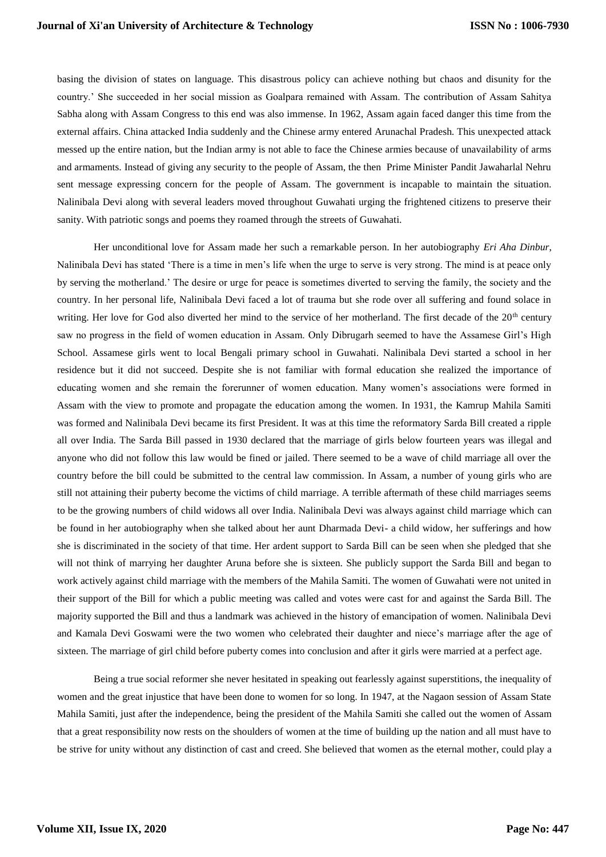basing the division of states on language. This disastrous policy can achieve nothing but chaos and disunity for the country.' She succeeded in her social mission as Goalpara remained with Assam. The contribution of Assam Sahitya Sabha along with Assam Congress to this end was also immense. In 1962, Assam again faced danger this time from the external affairs. China attacked India suddenly and the Chinese army entered Arunachal Pradesh. This unexpected attack messed up the entire nation, but the Indian army is not able to face the Chinese armies because of unavailability of arms and armaments. Instead of giving any security to the people of Assam, the then Prime Minister Pandit Jawaharlal Nehru sent message expressing concern for the people of Assam. The government is incapable to maintain the situation. Nalinibala Devi along with several leaders moved throughout Guwahati urging the frightened citizens to preserve their sanity. With patriotic songs and poems they roamed through the streets of Guwahati.

 Her unconditional love for Assam made her such a remarkable person. In her autobiography *Eri Aha Dinbur*, Nalinibala Devi has stated 'There is a time in men's life when the urge to serve is very strong. The mind is at peace only by serving the motherland.' The desire or urge for peace is sometimes diverted to serving the family, the society and the country. In her personal life, Nalinibala Devi faced a lot of trauma but she rode over all suffering and found solace in writing. Her love for God also diverted her mind to the service of her motherland. The first decade of the  $20<sup>th</sup>$  century saw no progress in the field of women education in Assam. Only Dibrugarh seemed to have the Assamese Girl's High School. Assamese girls went to local Bengali primary school in Guwahati. Nalinibala Devi started a school in her residence but it did not succeed. Despite she is not familiar with formal education she realized the importance of educating women and she remain the forerunner of women education. Many women's associations were formed in Assam with the view to promote and propagate the education among the women. In 1931, the Kamrup Mahila Samiti was formed and Nalinibala Devi became its first President. It was at this time the reformatory Sarda Bill created a ripple all over India. The Sarda Bill passed in 1930 declared that the marriage of girls below fourteen years was illegal and anyone who did not follow this law would be fined or jailed. There seemed to be a wave of child marriage all over the country before the bill could be submitted to the central law commission. In Assam, a number of young girls who are still not attaining their puberty become the victims of child marriage. A terrible aftermath of these child marriages seems to be the growing numbers of child widows all over India. Nalinibala Devi was always against child marriage which can be found in her autobiography when she talked about her aunt Dharmada Devi- a child widow, her sufferings and how she is discriminated in the society of that time. Her ardent support to Sarda Bill can be seen when she pledged that she will not think of marrying her daughter Aruna before she is sixteen. She publicly support the Sarda Bill and began to work actively against child marriage with the members of the Mahila Samiti. The women of Guwahati were not united in their support of the Bill for which a public meeting was called and votes were cast for and against the Sarda Bill. The majority supported the Bill and thus a landmark was achieved in the history of emancipation of women. Nalinibala Devi and Kamala Devi Goswami were the two women who celebrated their daughter and niece's marriage after the age of sixteen. The marriage of girl child before puberty comes into conclusion and after it girls were married at a perfect age.

 Being a true social reformer she never hesitated in speaking out fearlessly against superstitions, the inequality of women and the great injustice that have been done to women for so long. In 1947, at the Nagaon session of Assam State Mahila Samiti, just after the independence, being the president of the Mahila Samiti she called out the women of Assam that a great responsibility now rests on the shoulders of women at the time of building up the nation and all must have to be strive for unity without any distinction of cast and creed. She believed that women as the eternal mother, could play a